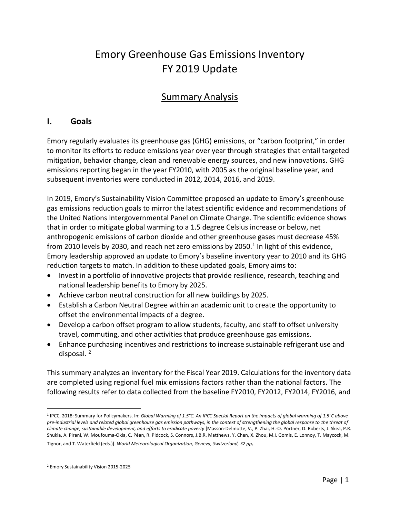# Emory Greenhouse Gas Emissions Inventory FY 2019 Update

## Summary Analysis

#### **I. Goals**

Emory regularly evaluates its greenhouse gas (GHG) emissions, or "carbon footprint," in order to monitor its efforts to reduce emissions year over year through strategies that entail targeted mitigation, behavior change, clean and renewable energy sources, and new innovations. GHG emissions reporting began in the year FY2010, with 2005 as the original baseline year, and subsequent inventories were conducted in 2012, 2014, 2016, and 2019.

In 2019, Emory's Sustainability Vision Committee proposed an update to Emory's greenhouse gas emissions reduction goals to mirror the latest scientific evidence and recommendations of the United Nations Intergovernmental Panel on Climate Change. The scientific evidence shows that in order to mitigate global warming to a 1.5 degree Celsius increase or below, net anthropogenic emissions of carbon dioxide and other greenhouse gases must decrease 45% from 2010 levels by 2030, and reach net zero emissions by 2050.<sup>1</sup> In light of this evidence, Emory leadership approved an update to Emory's baseline inventory year to 2010 and its GHG reduction targets to match. In addition to these updated goals, Emory aims to:

- Invest in a portfolio of innovative projects that provide resilience, research, teaching and national leadership benefits to Emory by 2025.
- Achieve carbon neutral construction for all new buildings by 2025.
- Establish a Carbon Neutral Degree within an academic unit to create the opportunity to offset the environmental impacts of a degree.
- Develop a carbon offset program to allow students, faculty, and staff to offset university travel, commuting, and other activities that produce greenhouse gas emissions.
- Enhance purchasing incentives and restrictions to increase sustainable refrigerant use and disposal. <sup>2</sup>

This summary analyzes an inventory for the Fiscal Year 2019. Calculations for the inventory data are completed using regional fuel mix emissions factors rather than the national factors. The following results refer to data collected from the baseline FY2010, FY2012, FY2014, FY2016, and

<sup>1</sup> IPCC, 2018: Summary for Policymakers. In: *Global Warming of 1.5°C. An IPCC Special Report on the impacts of global warming of 1.5°C above pre-industrial levels and related global greenhouse gas emission pathways, in the context of strengthening the global response to the threat of climate change, sustainable development, and efforts to eradicate poverty* [Masson-Delmotte, V., P. Zhai, H.-O. Pörtner, D. Roberts, J. Skea, P.R. Shukla, A. Pirani, W. Moufouma-Okia, C. Péan, R. Pidcock, S. Connors, J.B.R. Matthews, Y. Chen, X. Zhou, M.I. Gomis, E. Lonnoy, T. Maycock, M.

Tignor, and T. Waterfield (eds.)]. *World Meteorological Organization, Geneva, Switzerland, 32 pp.*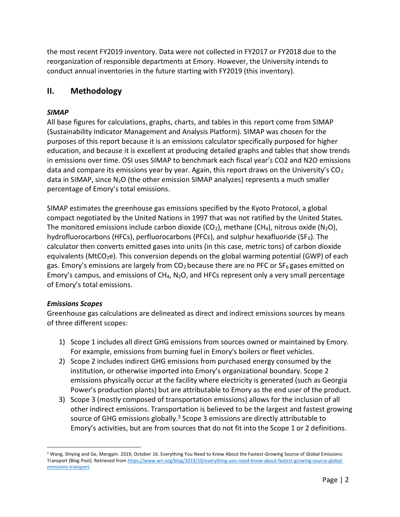the most recent FY2019 inventory. Data were not collected in FY2017 or FY2018 due to the reorganization of responsible departments at Emory. However, the University intends to conduct annual inventories in the future starting with FY2019 (this inventory).

### **II. Methodology**

#### *SIMAP*

All base figures for calculations, graphs, charts, and tables in this report come from SIMAP (Sustainability Indicator Management and Analysis Platform). SIMAP was chosen for the purposes of this report because it is an emissions calculator specifically purposed for higher education, and because it is excellent at producing detailed graphs and tables that show trends in emissions over time. OSI uses SIMAP to benchmark each fiscal year's CO2 and N2O emissions data and compare its emissions year by year. Again, this report draws on the University's  $CO<sub>2</sub>$ data in SIMAP, since N2O (the other emission SIMAP analyzes) represents a much smaller percentage of Emory's total emissions.

SIMAP estimates the greenhouse gas emissions specified by the Kyoto Protocol, a global compact negotiated by the United Nations in 1997 that was not ratified by the United States. The monitored emissions include carbon dioxide (CO<sub>2</sub>), methane (CH<sub>4</sub>), nitrous oxide (N<sub>2</sub>O), hydrofluorocarbons (HFCs), perfluorocarbons (PFCs), and sulphur hexafluoride (SF $_6$ ). The calculator then converts emitted gases into units (in this case, metric tons) of carbon dioxide equivalents (MtCO<sub>2</sub>e). This conversion depends on the global warming potential (GWP) of each gas. Emory's emissions are largely from  $CO<sub>2</sub>$  because there are no PFC or SF<sub>6</sub> gases emitted on Emory's campus, and emissions of  $CH_4$ ,  $N_2O$ , and HFCs represent only a very small percentage of Emory's total emissions.

#### *Emissions Scopes*

Greenhouse gas calculations are delineated as direct and indirect emissions sources by means of three different scopes:

- 1) Scope 1 includes all direct GHG emissions from sources owned or maintained by Emory. For example, emissions from burning fuel in Emory's boilers or fleet vehicles.
- 2) Scope 2 includes indirect GHG emissions from purchased energy consumed by the institution, or otherwise imported into Emory's organizational boundary. Scope 2 emissions physically occur at the facility where electricity is generated (such as Georgia Power's production plants) but are attributable to Emory as the end user of the product.
- 3) Scope 3 (mostly composed of transportation emissions) allows for the inclusion of all other indirect emissions. Transportation is believed to be the largest and fastest growing source of GHG emissions globally.<sup>3</sup> Scope 3 emissions are directly attributable to Emory's activities, but are from sources that do not fit into the Scope 1 or 2 definitions.

<sup>&</sup>lt;sup>3</sup> Wang, Shiying and Ge, Mengpin. 2019, October 16. Everything You Need to Know About the Fastest-Growing Source of Global Emissions: Transport [Blog Post]. Retrieved fro[m https://www.wri.org/blog/2019/10/everything-you-need-know-about-fastest-growing-source-global](https://www.wri.org/blog/2019/10/everything-you-need-know-about-fastest-growing-source-global-emissions-transport)[emissions-transport.](https://www.wri.org/blog/2019/10/everything-you-need-know-about-fastest-growing-source-global-emissions-transport)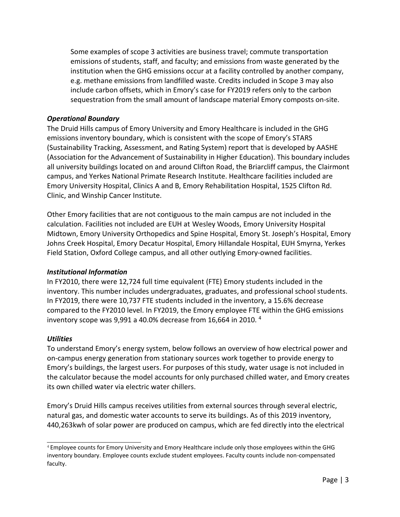Some examples of scope 3 activities are business travel; commute transportation emissions of students, staff, and faculty; and emissions from waste generated by the institution when the GHG emissions occur at a facility controlled by another company, e.g. methane emissions from landfilled waste. Credits included in Scope 3 may also include carbon offsets, which in Emory's case for FY2019 refers only to the carbon sequestration from the small amount of landscape material Emory composts on-site.

#### *Operational Boundary*

The Druid Hills campus of Emory University and Emory Healthcare is included in the GHG emissions inventory boundary, which is consistent with the scope of Emory's STARS (Sustainability Tracking, Assessment, and Rating System) report that is developed by AASHE (Association for the Advancement of Sustainability in Higher Education). This boundary includes all university buildings located on and around Clifton Road, the Briarcliff campus, the Clairmont campus, and Yerkes National Primate Research Institute. Healthcare facilities included are Emory University Hospital, Clinics A and B, Emory Rehabilitation Hospital, 1525 Clifton Rd. Clinic, and Winship Cancer Institute.

Other Emory facilities that are not contiguous to the main campus are not included in the calculation. Facilities not included are EUH at Wesley Woods, Emory University Hospital Midtown, Emory University Orthopedics and Spine Hospital, Emory St. Joseph's Hospital, Emory Johns Creek Hospital, Emory Decatur Hospital, Emory Hillandale Hospital, EUH Smyrna, Yerkes Field Station, Oxford College campus, and all other outlying Emory-owned facilities.

#### *Institutional Information*

In FY2010, there were 12,724 full time equivalent (FTE) Emory students included in the inventory. This number includes undergraduates, graduates, and professional school students. In FY2019, there were 10,737 FTE students included in the inventory, a 15.6% decrease compared to the FY2010 level. In FY2019, the Emory employee FTE within the GHG emissions inventory scope was 9,991 a 40.0% decrease from 16,664 in 2010.  $4$ 

#### *Utilities*

To understand Emory's energy system, below follows an overview of how electrical power and on-campus energy generation from stationary sources work together to provide energy to Emory's buildings, the largest users. For purposes of this study, water usage is not included in the calculator because the model accounts for only purchased chilled water, and Emory creates its own chilled water via electric water chillers.

Emory's Druid Hills campus receives utilities from external sources through several electric, natural gas, and domestic water accounts to serve its buildings. As of this 2019 inventory, 440,263kwh of solar power are produced on campus, which are fed directly into the electrical

<sup>4</sup>Employee counts for Emory University and Emory Healthcare include only those employees within the GHG inventory boundary. Employee counts exclude student employees. Faculty counts include non-compensated faculty.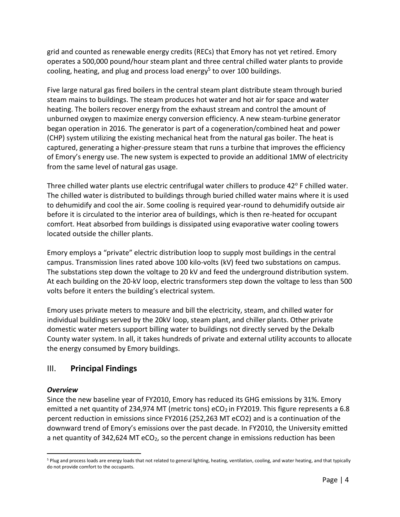grid and counted as renewable energy credits (RECs) that Emory has not yet retired. Emory operates a 500,000 pound/hour steam plant and three central chilled water plants to provide cooling, heating, and plug and process load energy<sup>5</sup> to over 100 buildings.

Five large natural gas fired boilers in the central steam plant distribute steam through buried steam mains to buildings. The steam produces hot water and hot air for space and water heating. The boilers recover energy from the exhaust stream and control the amount of unburned oxygen to maximize energy conversion efficiency. A new steam-turbine generator began operation in 2016. The generator is part of a cogeneration/combined heat and power (CHP) system utilizing the existing mechanical heat from the natural gas boiler. The heat is captured, generating a higher-pressure steam that runs a turbine that improves the efficiency of Emory's energy use. The new system is expected to provide an additional 1MW of electricity from the same level of natural gas usage.

Three chilled water plants use electric centrifugal water chillers to produce  $42^{\circ}$  F chilled water. The chilled water is distributed to buildings through buried chilled water mains where it is used to dehumidify and cool the air. Some cooling is required year-round to dehumidify outside air before it is circulated to the interior area of buildings, which is then re-heated for occupant comfort. Heat absorbed from buildings is dissipated using evaporative water cooling towers located outside the chiller plants.

Emory employs a "private" electric distribution loop to supply most buildings in the central campus. Transmission lines rated above 100 kilo-volts (kV) feed two substations on campus. The substations step down the voltage to 20 kV and feed the underground distribution system. At each building on the 20-kV loop, electric transformers step down the voltage to less than 500 volts before it enters the building's electrical system.

Emory uses private meters to measure and bill the electricity, steam, and chilled water for individual buildings served by the 20kV loop, steam plant, and chiller plants. Other private domestic water meters support billing water to buildings not directly served by the Dekalb County water system. In all, it takes hundreds of private and external utility accounts to allocate the energy consumed by Emory buildings.

## III. **Principal Findings**

#### *Overview*

Since the new baseline year of FY2010, Emory has reduced its GHG emissions by 31%. Emory emitted a net quantity of 234,974 MT (metric tons) eCO<sub>2</sub> in FY2019. This figure represents a 6.8 percent reduction in emissions since FY2016 (252,263 MT eCO2) and is a continuation of the downward trend of Emory's emissions over the past decade. In FY2010, the University emitted a net quantity of 342,624 MT eCO<sub>2</sub>, so the percent change in emissions reduction has been

<sup>5</sup> Plug and process loads are energy loads that not related to general lighting, heating, ventilation, cooling, and water heating, and that typically do not provide comfort to the occupants.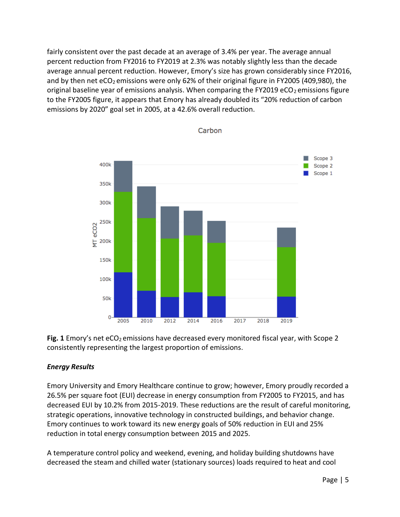fairly consistent over the past decade at an average of 3.4% per year. The average annual percent reduction from FY2016 to FY2019 at 2.3% was notably slightly less than the decade average annual percent reduction. However, Emory's size has grown considerably since FY2016, and by then net eCO<sub>2</sub> emissions were only 62% of their original figure in FY2005 (409,980), the original baseline year of emissions analysis. When comparing the FY2019 eCO<sub>2</sub> emissions figure to the FY2005 figure, it appears that Emory has already doubled its "20% reduction of carbon emissions by 2020" goal set in 2005, at a 42.6% overall reduction.



Carbon

Fig. 1 Emory's net eCO<sub>2</sub> emissions have decreased every monitored fiscal year, with Scope 2 consistently representing the largest proportion of emissions.

#### *Energy Results*

Emory University and Emory Healthcare continue to grow; however, Emory proudly recorded a 26.5% per square foot (EUI) decrease in energy consumption from FY2005 to FY2015, and has decreased EUI by 10.2% from 2015-2019. These reductions are the result of careful monitoring, strategic operations, innovative technology in constructed buildings, and behavior change. Emory continues to work toward its new energy goals of 50% reduction in EUI and 25% reduction in total energy consumption between 2015 and 2025.

A temperature control policy and weekend, evening, and holiday building shutdowns have decreased the steam and chilled water (stationary sources) loads required to heat and cool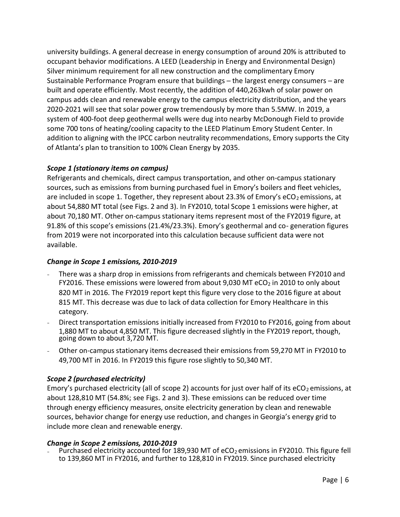university buildings. A general decrease in energy consumption of around 20% is attributed to occupant behavior modifications. A LEED (Leadership in Energy and Environmental Design) Silver minimum requirement for all new construction and the complimentary Emory Sustainable Performance Program ensure that buildings – the largest energy consumers – are built and operate efficiently. Most recently, the addition of 440,263kwh of solar power on campus adds clean and renewable energy to the campus electricity distribution, and the years 2020-2021 will see that solar power grow tremendously by more than 5.5MW. In 2019, a system of 400-foot deep geothermal wells were dug into nearby McDonough Field to provide some 700 tons of heating/cooling capacity to the LEED Platinum Emory Student Center. In addition to aligning with the IPCC carbon neutrality recommendations, Emory supports the City of Atlanta's plan to transition to 100% Clean Energy by 2035.

#### *Scope 1 (stationary items on campus)*

Refrigerants and chemicals, direct campus transportation, and other on-campus stationary sources, such as emissions from burning purchased fuel in Emory's boilers and fleet vehicles, are included in scope 1. Together, they represent about 23.3% of Emory's eCO<sub>2</sub> emissions, at about 54,880 MT total (see Figs. 2 and 3). In FY2010, total Scope 1 emissions were higher, at about 70,180 MT. Other on-campus stationary items represent most of the FY2019 figure, at 91.8% of this scope's emissions (21.4%/23.3%). Emory's geothermal and co- generation figures from 2019 were not incorporated into this calculation because sufficient data were not available.

#### *Change in Scope 1 emissions, 2010-2019*

- There was a sharp drop in emissions from refrigerants and chemicals between FY2010 and FY2016. These emissions were lowered from about 9,030 MT eCO<sub>2</sub> in 2010 to only about 820 MT in 2016. The FY2019 report kept this figure very close to the 2016 figure at about 815 MT. This decrease was due to lack of data collection for Emory Healthcare in this category.
- Direct transportation emissions initially increased from FY2010 to FY2016, going from about 1,880 MT to about 4,850 MT. This figure decreased slightly in the FY2019 report, though, going down to about 3,720 MT.
- Other on-campus stationary items decreased their emissions from 59,270 MT in FY2010 to 49,700 MT in 2016. In FY2019 this figure rose slightly to 50,340 MT.

#### *Scope 2 (purchased electricity)*

Emory's purchased electricity (all of scope 2) accounts for just over half of its eCO<sub>2</sub> emissions, at about 128,810 MT (54.8%; see Figs. 2 and 3). These emissions can be reduced over time through energy efficiency measures, onsite electricity generation by clean and renewable sources, behavior change for energy use reduction, and changes in Georgia's energy grid to include more clean and renewable energy.

#### *Change in Scope 2 emissions, 2010-2019*

Purchased electricity accounted for 189,930 MT of eCO<sub>2</sub> emissions in FY2010. This figure fell to 139,860 MT in FY2016, and further to 128,810 in FY2019. Since purchased electricity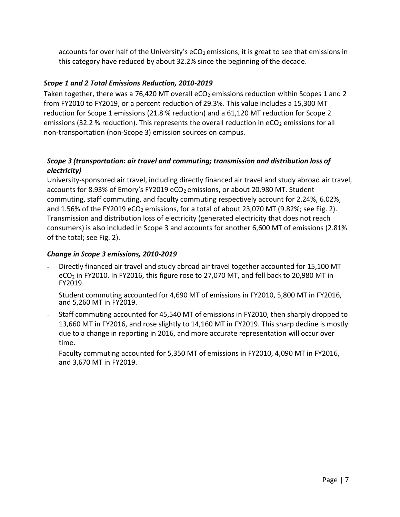accounts for over half of the University's eCO<sub>2</sub> emissions, it is great to see that emissions in this category have reduced by about 32.2% since the beginning of the decade.

#### *Scope 1 and 2 Total Emissions Reduction, 2010-2019*

Taken together, there was a 76,420 MT overall eCO<sub>2</sub> emissions reduction within Scopes 1 and 2 from FY2010 to FY2019, or a percent reduction of 29.3%. This value includes a 15,300 MT reduction for Scope 1 emissions (21.8 % reduction) and a 61,120 MT reduction for Scope 2 emissions (32.2 % reduction). This represents the overall reduction in eCO<sub>2</sub> emissions for all non-transportation (non-Scope 3) emission sources on campus.

#### *Scope 3 (transportation: air travel and commuting; transmission and distribution loss of electricity)*

University-sponsored air travel, including directly financed air travel and study abroad air travel, accounts for 8.93% of Emory's FY2019 eCO<sub>2</sub> emissions, or about 20,980 MT. Student commuting, staff commuting, and faculty commuting respectively account for 2.24%, 6.02%, and 1.56% of the FY2019 eCO<sub>2</sub> emissions, for a total of about 23,070 MT (9.82%; see Fig. 2). Transmission and distribution loss of electricity (generated electricity that does not reach consumers) is also included in Scope 3 and accounts for another 6,600 MT of emissions (2.81% of the total; see Fig. 2).

#### *Change in Scope 3 emissions, 2010-2019*

- Directly financed air travel and study abroad air travel together accounted for 15,100 MT eCO<sub>2</sub> in FY2010. In FY2016, this figure rose to 27,070 MT, and fell back to 20,980 MT in FY2019.
- Student commuting accounted for 4,690 MT of emissions in FY2010, 5,800 MT in FY2016, and 5,260 MT in FY2019.
- Staff commuting accounted for 45,540 MT of emissions in FY2010, then sharply dropped to 13,660 MT in FY2016, and rose slightly to 14,160 MT in FY2019. This sharp decline is mostly due to a change in reporting in 2016, and more accurate representation will occur over time.
- Faculty commuting accounted for 5,350 MT of emissions in FY2010, 4,090 MT in FY2016, and 3,670 MT in FY2019.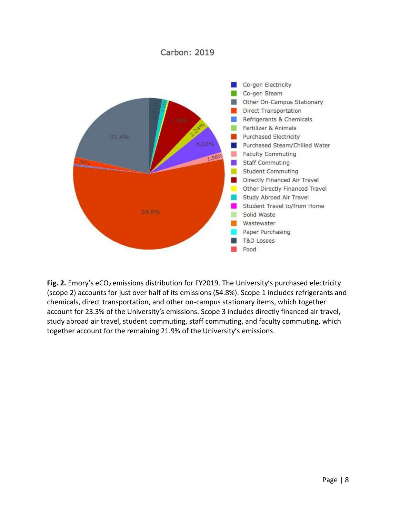#### Carbon: 2019



Fig. 2. Emory's eCO<sub>2</sub> emissions distribution for FY2019. The University's purchased electricity (scope 2) accounts for just over half of its emissions (54.8%). Scope 1 includes refrigerants and chemicals, direct transportation, and other on-campus stationary items, which together account for 23.3% of the University's emissions. Scope 3 includes directly financed air travel, study abroad air travel, student commuting, staff commuting, and faculty commuting, which together account for the remaining 21.9% of the University's emissions.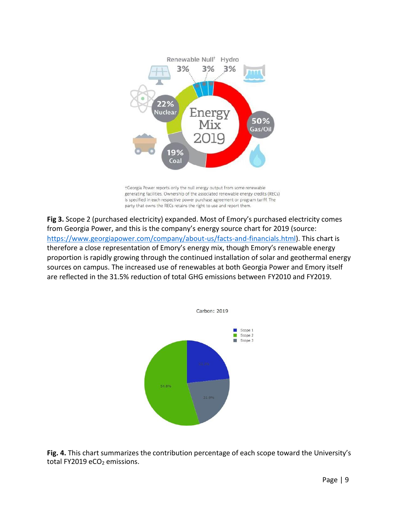

+Georgia Power reports only the null energy output from some renewable generating facilities. Ownership of the associated renewable energy credits (RECs) is specified in each respective power purchase agreement or program tariff. The party that owns the RECs retains the right to use and report them.

**Fig 3.** Scope 2 (purchased electricity) expanded. Most of Emory's purchased electricity comes from Georgia Power, and this is the company's energy source chart for 2019 (source: [https://www.georgiapower.com/company/about-us/facts-and-financials.html\)](https://www.georgiapower.com/company/about-us/facts-and-financials.html). This chart is therefore a close representation of Emory's energy mix, though Emory's renewable energy proportion is rapidly growing through the continued installation of solar and geothermal energy sources on campus. The increased use of renewables at both Georgia Power and Emory itself are reflected in the 31.5% reduction of total GHG emissions between FY2010 and FY2019.



**Fig. 4.** This chart summarizes the contribution percentage of each scope toward the University's total FY2019 eCO<sub>2</sub> emissions.